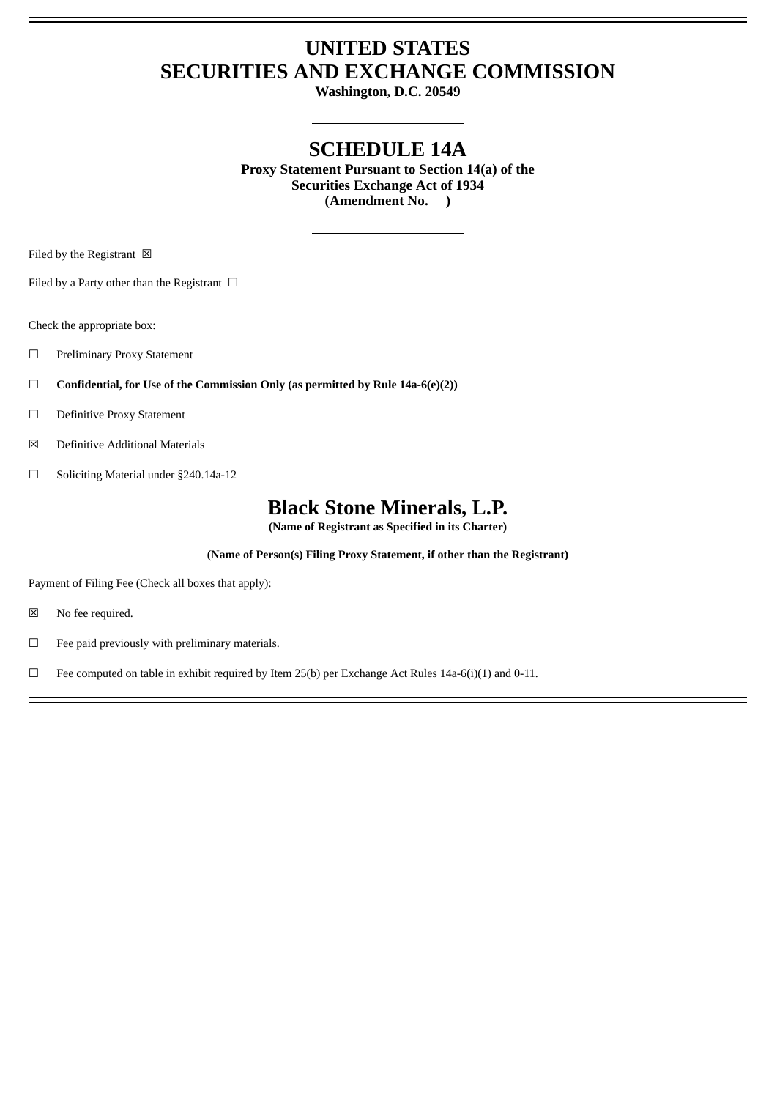## **UNITED STATES SECURITIES AND EXCHANGE COMMISSION**

**Washington, D.C. 20549**

## **SCHEDULE 14A**

**Proxy Statement Pursuant to Section 14(a) of the Securities Exchange Act of 1934 (Amendment No. )**

Filed by the Registrant  $\boxtimes$ 

Filed by a Party other than the Registrant  $\Box$ 

Check the appropriate box:

- ☐ Preliminary Proxy Statement
- ☐ **Confidential, for Use of the Commission Only (as permitted by Rule 14a-6(e)(2))**
- ☐ Definitive Proxy Statement
- ☒ Definitive Additional Materials
- ☐ Soliciting Material under §240.14a-12

## **Black Stone Minerals, L.P.**

**(Name of Registrant as Specified in its Charter)**

**(Name of Person(s) Filing Proxy Statement, if other than the Registrant)**

Payment of Filing Fee (Check all boxes that apply):

- ☒ No fee required.
- ☐ Fee paid previously with preliminary materials.

□ Fee computed on table in exhibit required by Item 25(b) per Exchange Act Rules 14a-6(i)(1) and 0-11.